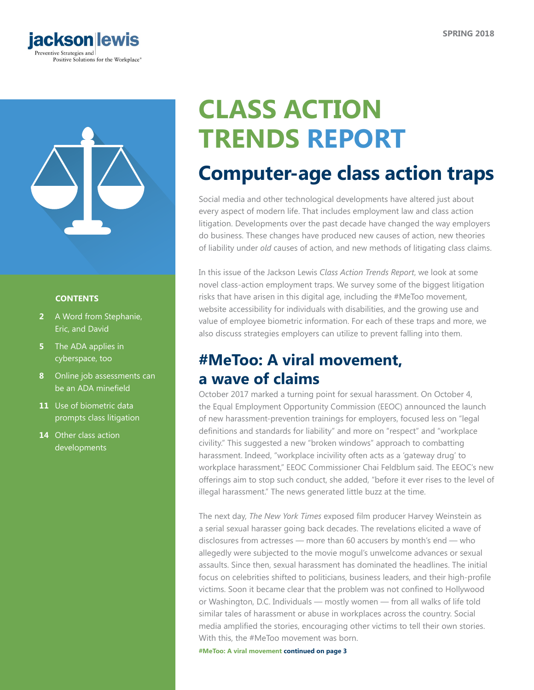



### **CONTENTS**

- **2** [A Word from Stephanie,](#page-1-0)  [Eric, and Da](#page-1-0)vid
- **5** The ADA applies in [cyberspace, too](#page-4-0)
- **8** [Online job assessments can](#page-7-0)  [be an ADA minefield](#page-7-0)
- **11** [Use of biometric data](#page-10-0)  [prompts class litigation](#page-10-0)
- **14** [Other class action](#page-13-0)  [developments](#page-13-0)

# **CLASS ACTION TRENDS REPORT**

## **Computer-age class action traps**

Social media and other technological developments have altered just about every aspect of modern life. That includes employment law and class action litigation. Developments over the past decade have changed the way employers do business. These changes have produced new causes of action, new theories of liability under *old* causes of action, and new methods of litigating class claims.

In this issue of the Jackson Lewis *Class Action Trends Report*, we look at some novel class-action employment traps. We survey some of the biggest litigation risks that have arisen in this digital age, including the #MeToo movement, website accessibility for individuals with disabilities, and the growing use and value of employee biometric information. For each of these traps and more, we also discuss strategies employers can utilize to prevent falling into them.

## **#MeToo: A viral movement, a wave of claims**

October 2017 marked a turning point for sexual harassment. On October 4, the Equal Employment Opportunity Commission (EEOC) announced the launch of new harassment-prevention trainings for employers, focused less on "legal definitions and standards for liability" and more on "respect" and "workplace civility." This suggested a new "broken windows" approach to combatting harassment. Indeed, "workplace incivility often acts as a 'gateway drug' to workplace harassment," EEOC Commissioner Chai Feldblum said. The EEOC's new offerings aim to stop such conduct, she added, "before it ever rises to the level of illegal harassment." The news generated little buzz at the time.

The next day, *The New York Times* exposed film producer Harvey Weinstein as a serial sexual harasser going back decades. The revelations elicited a wave of disclosures from actresses — more than 60 accusers by month's end — who allegedly were subjected to the movie mogul's unwelcome advances or sexual assaults. Since then, sexual harassment has dominated the headlines. The initial focus on celebrities shifted to politicians, business leaders, and their high-profile victims. Soon it became clear that the problem was not confined to Hollywood or Washington, D.C. Individuals — mostly women — from all walks of life told similar tales of harassment or abuse in workplaces across the country. Social media amplified the stories, encouraging other victims to tell their own stories. With this, the #MeToo movement was born.

**#MeToo: A viral movement continued on page 3**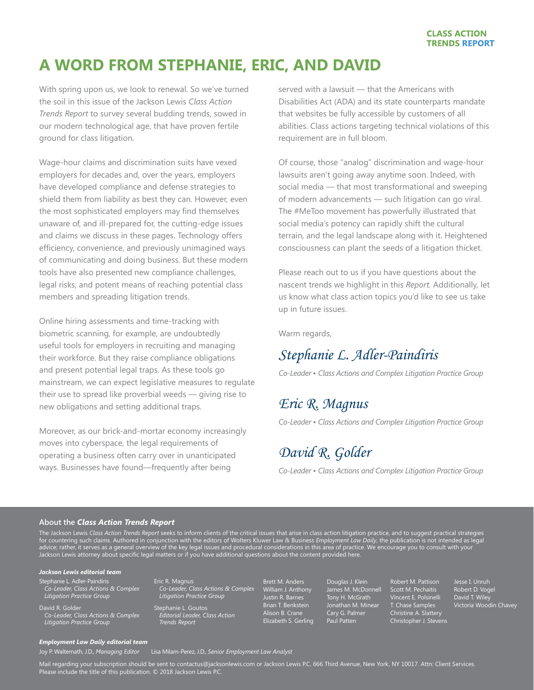## <span id="page-1-0"></span>**A WORD FROM STEPHANIE, ERIC, AND DAVID**

With spring upon us, we look to renewal. So we've turned the soil in this issue of the Jackson Lewis *Class Action Trends Report* to survey several budding trends, sowed in our modern technological age, that have proven fertile ground for class litigation.

Wage-hour claims and discrimination suits have vexed employers for decades and, over the years, employers have developed compliance and defense strategies to shield them from liability as best they can. However, even the most sophisticated employers may find themselves unaware of, and ill-prepared for, the cutting-edge issues and claims we discuss in these pages. Technology offers efficiency, convenience, and previously unimagined ways of communicating and doing business. But these modern tools have also presented new compliance challenges, legal risks, and potent means of reaching potential class members and spreading litigation trends.

Online hiring assessments and time-tracking with biometric scanning, for example, are undoubtedly useful tools for employers in recruiting and managing their workforce. But they raise compliance obligations and present potential legal traps. As these tools go mainstream, we can expect legislative measures to regulate their use to spread like proverbial weeds — giving rise to new obligations and setting additional traps.

Moreover, as our brick-and-mortar economy increasingly moves into cyberspace, the legal requirements of operating a business often carry over in unanticipated ways. Businesses have found—frequently after being

served with a lawsuit — that the Americans with Disabilities Act (ADA) and its state counterparts mandate that websites be fully accessible by customers of all abilities. Class actions targeting technical violations of this requirement are in full bloom.

Of course, those "analog" discrimination and wage-hour lawsuits aren't going away anytime soon. Indeed, with social media — that most transformational and sweeping of modern advancements — such litigation can go viral. The #MeToo movement has powerfully illustrated that social media's potency can rapidly shift the cultural terrain, and the legal landscape along with it. Heightened consciousness can plant the seeds of a litigation thicket.

Please reach out to us if you have questions about the nascent trends we highlight in this *Report.* Additionally, let us know what class action topics you'd like to see us take up in future issues.

Warm regards,

## *Stephanie L. Adler-Paindiris*

*Co-Leader • Class Actions and Complex Litigation Practice Group*

## *Eric R. Magnus*

*Co-Leader • Class Actions and Complex Litigation Practice Group*

## *David R. Golder*

*Co-Leader • Class Actions and Complex Litigation Practice Group*

#### **About the** *Class Action Trends Report*

The Jackson Lewis *Class Action Trends Report* seeks to inform clients of the critical issues that arise in class action litigation practice, and to suggest practical strategies for countering such claims. Authored in conjunction with the editors of Wolters Kluwer Law & Business *Employment Law Daily*, the publication is not intended as legal advice; rather, it serves as a general overview of the key legal issues and procedural considerations in this area of practice. We encourage you to consult with your Jackson Lewis attorney about specific legal matters or if you have additional questions about the content provided here.

#### *Jackson Lewis editorial team*

Stephanie L. Adler-Paindiris *Co-Leader, Class Actions & Complex Litigation Practice Group*

David R. Golder *Co-Leader, Class Actions & Complex Litigation Practice Group*

Eric R. Magnus *Co-Leader, Class Actions & Complex Litigation Practice Group*

Stephanie L. Goutos *Editorial Leader, Class Action Trends Report* 

Brett M. Anders William J. Anthony Justin R. Barnes Brian T. Benkstein Alison B. Crane Elizabeth S. Gerling Douglas J. Klein James M. McDonnell Tony H. McGrath Jonathan M. Minear Cary G. Palmer Paul Patten

Robert M. Pattison Scott M. Pechaitis Vincent E. Polsinelli T. Chase Samples Christine A. Slattery Christopher J. Stevens

Robert D. Vogel David T. Wiley David 1. whey<br>Victoria Woodin Chavey

#### *Employment Law Daily editorial team*

Joy P. Waltemath, J.D., *Managing Editor* Lisa Milam-Perez, J.D., *Senior Employment Law Analyst*

Mail regarding your subscription should be sent to contactus@jacksonlewis.com or Jackson Lewis P.C. 666 Third Avenue, New York, NY 10017. Attn: Client Services. Please include the title of this publication. © 2018 Jackson Lewis P.C.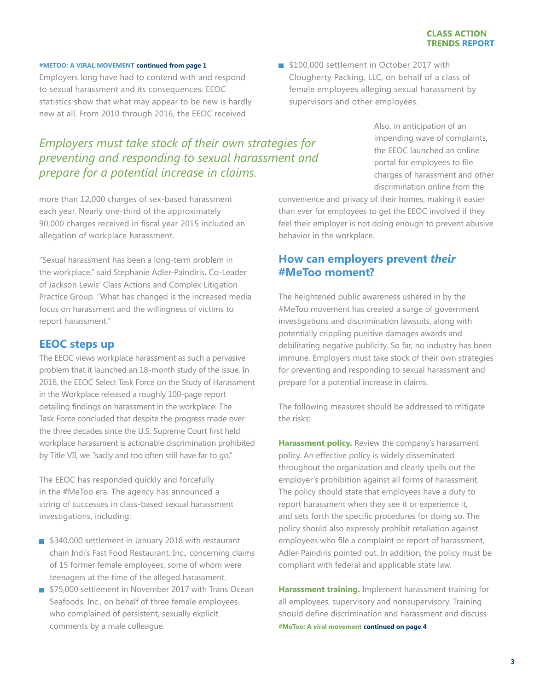### **#METOO: A VIRAL MOVEMENT continued from page 1**

Employers long have had to contend with and respond to sexual harassment and its consequences. EEOC statistics show that what may appear to be new is hardly new at all. From 2010 through 2016, the EEOC received

*Employers must take stock of their own strategies for preventing and responding to sexual harassment and* 

more than 12,000 charges of sex-based harassment each year. Nearly one-third of the approximately 90,000 charges received in fiscal year 2015 included an

*prepare for a potential increase in claims.*

allegation of workplace harassment.

"Sexual harassment has been a long-term problem in the workplace," said Stephanie Adler-Paindiris, Co-Leader of Jackson Lewis' Class Actions and Complex Litigation Practice Group. "What has changed is the increased media focus on harassment and the willingness of victims to report harassment."

## **EEOC steps up**

The EEOC views workplace harassment as such a pervasive problem that it launched an 18-month study of the issue. In 2016, the EEOC Select Task Force on the Study of Harassment in the Workplace released a roughly 100-page report detailing findings on harassment in the workplace. The Task Force concluded that despite the progress made over the three decades since the U.S. Supreme Court first held workplace harassment is actionable discrimination prohibited by Title VII, we "sadly and too often still have far to go."

The EEOC has responded quickly and forcefully in the #MeToo era. The agency has announced a string of successes in class-based sexual harassment investigations, including:

- \$340,000 settlement in January 2018 with restaurant chain Indi's Fast Food Restaurant, Inc., concerning claims of 15 former female employees, some of whom were teenagers at the time of the alleged harassment.
- \$75,000 settlement in November 2017 with Trans Ocean Seafoods, Inc., on behalf of three female employees who complained of persistent, sexually explicit comments by a male colleague.

**\$100,000 settlement in October 2017 with** Clougherty Packing, LLC, on behalf of a class of female employees alleging sexual harassment by supervisors and other employees.

> Also, in anticipation of an impending wave of complaints, the EEOC launched an online portal for employees to file charges of harassment and other discrimination online from the

convenience and privacy of their homes, making it easier than ever for employees to get the EEOC involved if they feel their employer is not doing enough to prevent abusive behavior in the workplace.

## **How can employers prevent** *their* **#MeToo moment?**

The heightened public awareness ushered in by the #MeToo movement has created a surge of government investigations and discrimination lawsuits, along with potentially crippling punitive damages awards and debilitating negative publicity. So far, no industry has been immune. Employers must take stock of their own strategies for preventing and responding to sexual harassment and prepare for a potential increase in claims.

The following measures should be addressed to mitigate the risks:

**Harassment policy.** Review the company's harassment policy. An effective policy is widely disseminated throughout the organization and clearly spells out the employer's prohibition against all forms of harassment. The policy should state that employees have a duty to report harassment when they see it or experience it, and sets forth the specific procedures for doing so. The policy should also expressly prohibit retaliation against employees who file a complaint or report of harassment, Adler-Paindiris pointed out. In addition, the policy must be compliant with federal and applicable state law.

**Harassment training.** Implement harassment training for all employees, supervisory and nonsupervisory. Training should define discrimination and harassment and discuss **#MeToo: A viral movement continued on page 4**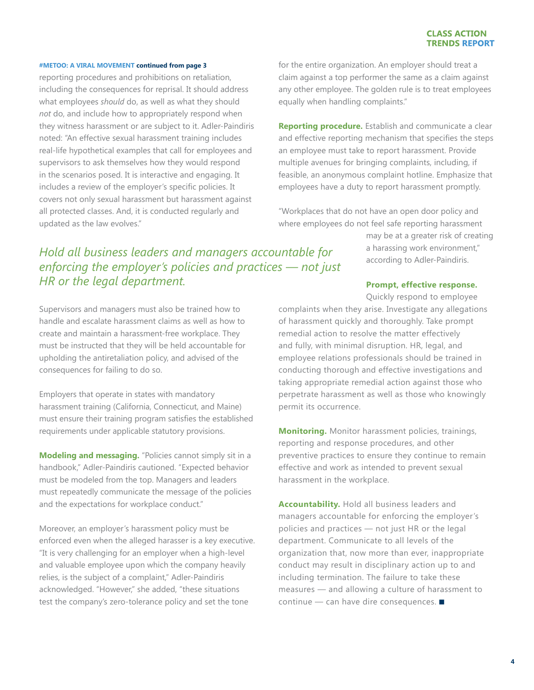#### **#METOO: A VIRAL MOVEMENT continued from page 3**

reporting procedures and prohibitions on retaliation, including the consequences for reprisal. It should address what employees *should* do, as well as what they should *not* do, and include how to appropriately respond when they witness harassment or are subject to it. Adler-Paindiris noted: "An effective sexual harassment training includes real-life hypothetical examples that call for employees and supervisors to ask themselves how they would respond in the scenarios posed. It is interactive and engaging. It includes a review of the employer's specific policies. It covers not only sexual harassment but harassment against all protected classes. And, it is conducted regularly and updated as the law evolves."

for the entire organization. An employer should treat a claim against a top performer the same as a claim against any other employee. The golden rule is to treat employees equally when handling complaints."

**Reporting procedure.** Establish and communicate a clear and effective reporting mechanism that specifies the steps an employee must take to report harassment. Provide multiple avenues for bringing complaints, including, if feasible, an anonymous complaint hotline. Emphasize that employees have a duty to report harassment promptly.

"Workplaces that do not have an open door policy and where employees do not feel safe reporting harassment

> may be at a greater risk of creating a harassing work environment," according to Adler-Paindiris.

## *Hold all business leaders and managers accountable for enforcing the employer's policies and practices — not just HR or the legal department.*

Supervisors and managers must also be trained how to handle and escalate harassment claims as well as how to create and maintain a harassment-free workplace. They must be instructed that they will be held accountable for upholding the antiretaliation policy, and advised of the consequences for failing to do so.

Employers that operate in states with mandatory harassment training (California, Connecticut, and Maine) must ensure their training program satisfies the established requirements under applicable statutory provisions.

**Modeling and messaging.** "Policies cannot simply sit in a handbook," Adler-Paindiris cautioned. "Expected behavior must be modeled from the top. Managers and leaders must repeatedly communicate the message of the policies and the expectations for workplace conduct."

Moreover, an employer's harassment policy must be enforced even when the alleged harasser is a key executive. "It is very challenging for an employer when a high-level and valuable employee upon which the company heavily relies, is the subject of a complaint," Adler-Paindiris acknowledged. "However," she added, "these situations test the company's zero-tolerance policy and set the tone

#### **Prompt, effective response.**

Quickly respond to employee

complaints when they arise. Investigate any allegations of harassment quickly and thoroughly. Take prompt remedial action to resolve the matter effectively and fully, with minimal disruption. HR, legal, and employee relations professionals should be trained in conducting thorough and effective investigations and taking appropriate remedial action against those who perpetrate harassment as well as those who knowingly permit its occurrence.

**Monitoring.** Monitor harassment policies, trainings, reporting and response procedures, and other preventive practices to ensure they continue to remain effective and work as intended to prevent sexual harassment in the workplace.

**Accountability.** Hold all business leaders and managers accountable for enforcing the employer's policies and practices — not just HR or the legal department. Communicate to all levels of the organization that, now more than ever, inappropriate conduct may result in disciplinary action up to and including termination. The failure to take these measures — and allowing a culture of harassment to continue  $-$  can have dire consequences.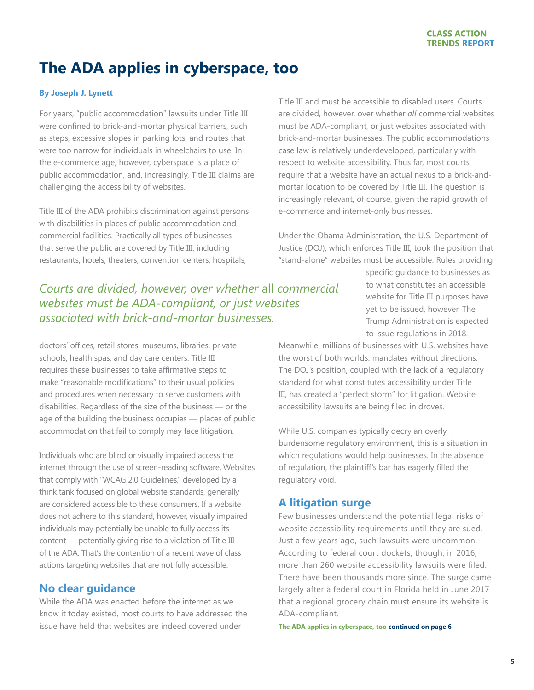## <span id="page-4-0"></span>**The ADA applies in cyberspace, too**

### **By Joseph J. Lynett**

For years, "public accommodation" lawsuits under Title III were confined to brick-and-mortar physical barriers, such as steps, excessive slopes in parking lots, and routes that were too narrow for individuals in wheelchairs to use. In the e-commerce age, however, cyberspace is a place of public accommodation, and, increasingly, Title III claims are challenging the accessibility of websites.

Title III of the ADA prohibits discrimination against persons with disabilities in places of public accommodation and commercial facilities. Practically all types of businesses that serve the public are covered by Title III, including restaurants, hotels, theaters, convention centers, hospitals,

Title III and must be accessible to disabled users. Courts are divided, however, over whether *all* commercial websites must be ADA-compliant, or just websites associated with brick-and-mortar businesses. The public accommodations case law is relatively underdeveloped, particularly with respect to website accessibility. Thus far, most courts require that a website have an actual nexus to a brick-andmortar location to be covered by Title III. The question is increasingly relevant, of course, given the rapid growth of e-commerce and internet-only businesses.

Under the Obama Administration, the U.S. Department of Justice (DOJ), which enforces Title III, took the position that "stand-alone" websites must be accessible. Rules providing

*Courts are divided, however, over whether* all *commercial websites must be ADA-compliant, or just websites associated with brick-and-mortar businesses.* 

doctors' offices, retail stores, museums, libraries, private schools, health spas, and day care centers. Title III requires these businesses to take affirmative steps to make "reasonable modifications" to their usual policies and procedures when necessary to serve customers with disabilities. Regardless of the size of the business — or the age of the building the business occupies – places of public accommodation that fail to comply may face litigation.

Individuals who are blind or visually impaired access the internet through the use of screen-reading software. Websites that comply with "WCAG 2.0 Guidelines," developed by a think tank focused on global website standards, generally are considered accessible to these consumers. If a website does not adhere to this standard, however, visually impaired individuals may potentially be unable to fully access its content — potentially giving rise to a violation of Title III of the ADA. That's the contention of a recent wave of class actions targeting websites that are not fully accessible.

## **No clear guidance**

While the ADA was enacted before the internet as we know it today existed, most courts to have addressed the issue have held that websites are indeed covered under

specific guidance to businesses as to what constitutes an accessible website for Title III purposes have yet to be issued, however. The Trump Administration is expected to issue regulations in 2018.

Meanwhile, millions of businesses with U.S. websites have the worst of both worlds: mandates without directions. The DOJ's position, coupled with the lack of a regulatory standard for what constitutes accessibility under Title III, has created a "perfect storm" for litigation. Website accessibility lawsuits are being filed in droves.

While U.S. companies typically decry an overly burdensome regulatory environment, this is a situation in which regulations would help businesses. In the absence of regulation, the plaintiff's bar has eagerly filled the regulatory void.

## **A litigation surge**

Few businesses understand the potential legal risks of website accessibility requirements until they are sued. Just a few years ago, such lawsuits were uncommon. According to federal court dockets, though, in 2016, more than 260 website accessibility lawsuits were filed. There have been thousands more since. The surge came largely after a federal court in Florida held in June 2017 that a regional grocery chain must ensure its website is ADA-compliant.

**The ADA applies in cyberspace, too continued on page 6**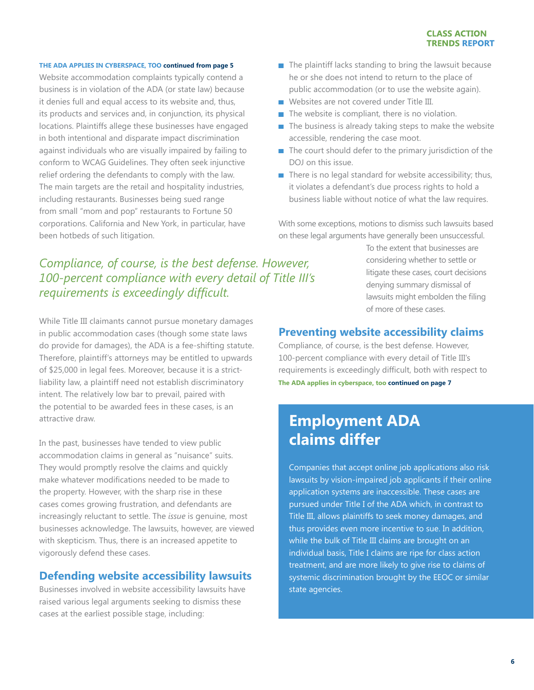### **THE ADA APPLIES IN CYBERSPACE, TOO continued from page 5**

Website accommodation complaints typically contend a business is in violation of the ADA (or state law) because it denies full and equal access to its website and, thus, its products and services and, in conjunction, its physical locations. Plaintiffs allege these businesses have engaged in both intentional and disparate impact discrimination against individuals who are visually impaired by failing to conform to WCAG Guidelines. They often seek injunctive relief ordering the defendants to comply with the law. The main targets are the retail and hospitality industries, including restaurants. Businesses being sued range from small "mom and pop" restaurants to Fortune 50 corporations. California and New York, in particular, have been hotbeds of such litigation.

## *Compliance, of course, is the best defense. However, 100-percent compliance with every detail of Title III's requirements is exceedingly difficult.*

While Title III claimants cannot pursue monetary damages in public accommodation cases (though some state laws do provide for damages), the ADA is a fee-shifting statute. Therefore, plaintiff's attorneys may be entitled to upwards of \$25,000 in legal fees. Moreover, because it is a strictliability law, a plaintiff need not establish discriminatory intent. The relatively low bar to prevail, paired with the potential to be awarded fees in these cases, is an attractive draw.

In the past, businesses have tended to view public accommodation claims in general as "nuisance" suits. They would promptly resolve the claims and quickly make whatever modifications needed to be made to the property. However, with the sharp rise in these cases comes growing frustration, and defendants are increasingly reluctant to settle. The *issue* is genuine, most businesses acknowledge. The lawsuits, however, are viewed with skepticism. Thus, there is an increased appetite to vigorously defend these cases.

### **Defending website accessibility lawsuits**

Businesses involved in website accessibility lawsuits have raised various legal arguments seeking to dismiss these cases at the earliest possible stage, including:

- $\blacksquare$  The plaintiff lacks standing to bring the lawsuit because he or she does not intend to return to the place of public accommodation (or to use the website again).
- Websites are not covered under Title III.
- $\blacksquare$  The website is compliant, there is no violation.
- $\blacksquare$  The business is already taking steps to make the website accessible, rendering the case moot.
- $\blacksquare$  The court should defer to the primary jurisdiction of the DOJ on this issue.
- $\blacksquare$  There is no legal standard for website accessibility; thus, it violates a defendant's due process rights to hold a business liable without notice of what the law requires.

With some exceptions, motions to dismiss such lawsuits based on these legal arguments have generally been unsuccessful.

> To the extent that businesses are considering whether to settle or litigate these cases, court decisions denying summary dismissal of lawsuits might embolden the filing of more of these cases.

### **Preventing website accessibility claims**

Compliance, of course, is the best defense. However, 100-percent compliance with every detail of Title III's requirements is exceedingly difficult, both with respect to **The ADA applies in cyberspace, too continued on page 7**

## **Employment ADA claims differ**

Companies that accept online job applications also risk lawsuits by vision-impaired job applicants if their online application systems are inaccessible. These cases are pursued under Title I of the ADA which, in contrast to Title III, allows plaintiffs to seek money damages, and thus provides even more incentive to sue. In addition, while the bulk of Title III claims are brought on an individual basis, Title I claims are ripe for class action treatment, and are more likely to give rise to claims of systemic discrimination brought by the EEOC or similar state agencies.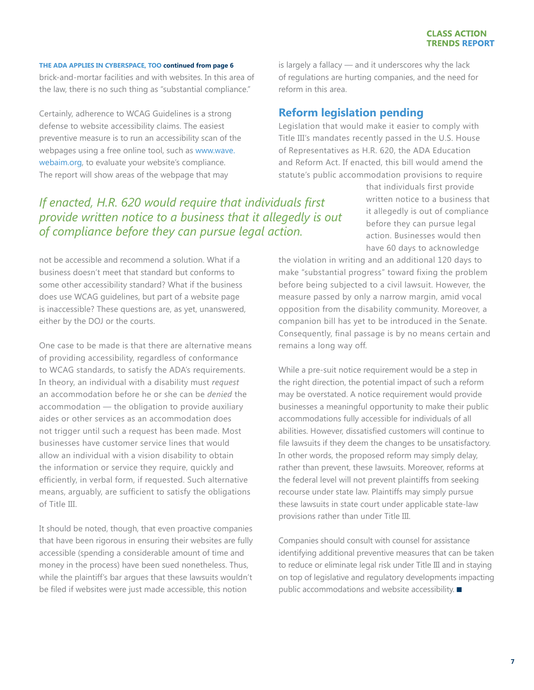#### **THE ADA APPLIES IN CYBERSPACE, TOO continued from page 6**

brick-and-mortar facilities and with websites. In this area of the law, there is no such thing as "substantial compliance."

Certainly, adherence to WCAG Guidelines is a strong defense to website accessibility claims. The easiest preventive measure is to run an accessibility scan of the webpages using a free online tool, such as [www.wave.](http://www.wave.webaim.org) [webaim.org,](http://www.wave.webaim.org) to evaluate your website's compliance. The report will show areas of the webpage that may

## *If enacted, H.R. 620 would require that individuals first provide written notice to a business that it allegedly is out of compliance before they can pursue legal action.*

not be accessible and recommend a solution. What if a business doesn't meet that standard but conforms to some other accessibility standard? What if the business does use WCAG guidelines, but part of a website page is inaccessible? These questions are, as yet, unanswered, either by the DOJ or the courts.

One case to be made is that there are alternative means of providing accessibility, regardless of conformance to WCAG standards, to satisfy the ADA's requirements. In theory, an individual with a disability must *request* an accommodation before he or she can be *denied* the accommodation — the obligation to provide auxiliary aides or other services as an accommodation does not trigger until such a request has been made. Most businesses have customer service lines that would allow an individual with a vision disability to obtain the information or service they require, quickly and efficiently, in verbal form, if requested. Such alternative means, arguably, are sufficient to satisfy the obligations of Title III.

It should be noted, though, that even proactive companies that have been rigorous in ensuring their websites are fully accessible (spending a considerable amount of time and money in the process) have been sued nonetheless. Thus, while the plaintiff's bar argues that these lawsuits wouldn't be filed if websites were just made accessible, this notion

is largely a fallacy — and it underscores why the lack of regulations are hurting companies, and the need for reform in this area.

## **Reform legislation pending**

Legislation that would make it easier to comply with Title III's mandates recently passed in the U.S. House of Representatives as H.R. 620, the ADA Education and Reform Act. If enacted, this bill would amend the statute's public accommodation provisions to require

> that individuals first provide written notice to a business that it allegedly is out of compliance before they can pursue legal action. Businesses would then have 60 days to acknowledge

the violation in writing and an additional 120 days to make "substantial progress" toward fixing the problem before being subjected to a civil lawsuit. However, the measure passed by only a narrow margin, amid vocal opposition from the disability community. Moreover, a companion bill has yet to be introduced in the Senate. Consequently, final passage is by no means certain and remains a long way off.

While a pre-suit notice requirement would be a step in the right direction, the potential impact of such a reform may be overstated. A notice requirement would provide businesses a meaningful opportunity to make their public accommodations fully accessible for individuals of all abilities. However, dissatisfied customers will continue to file lawsuits if they deem the changes to be unsatisfactory. In other words, the proposed reform may simply delay, rather than prevent, these lawsuits. Moreover, reforms at the federal level will not prevent plaintiffs from seeking recourse under state law. Plaintiffs may simply pursue these lawsuits in state court under applicable state-law provisions rather than under Title III.

Companies should consult with counsel for assistance identifying additional preventive measures that can be taken to reduce or eliminate legal risk under Title III and in staying on top of legislative and regulatory developments impacting public accommodations and website accessibility.  $\blacksquare$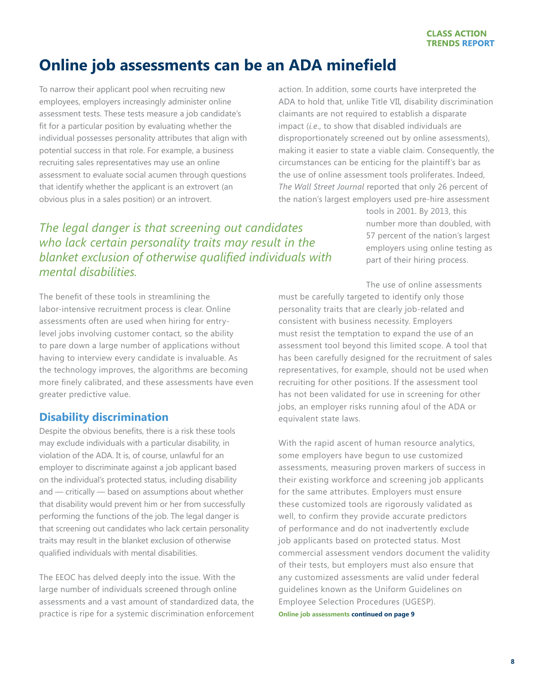## <span id="page-7-0"></span>**Online job assessments can be an ADA minefield**

To narrow their applicant pool when recruiting new employees, employers increasingly administer online assessment tests. These tests measure a job candidate's fit for a particular position by evaluating whether the individual possesses personality attributes that align with potential success in that role. For example, a business recruiting sales representatives may use an online assessment to evaluate social acumen through questions that identify whether the applicant is an extrovert (an obvious plus in a sales position) or an introvert.

action. In addition, some courts have interpreted the ADA to hold that, unlike Title VII, disability discrimination claimants are not required to establish a disparate impact (*i.e*., to show that disabled individuals are disproportionately screened out by online assessments), making it easier to state a viable claim. Consequently, the circumstances can be enticing for the plaintiff's bar as the use of online assessment tools proliferates. Indeed, *The Wall Street Journal* reported that only 26 percent of the nation's largest employers used pre-hire assessment

## *The legal danger is that screening out candidates who lack certain personality traits may result in the blanket exclusion of otherwise qualified individuals with mental disabilities.*

The benefit of these tools in streamlining the labor-intensive recruitment process is clear. Online assessments often are used when hiring for entrylevel jobs involving customer contact, so the ability to pare down a large number of applications without having to interview every candidate is invaluable. As the technology improves, the algorithms are becoming more finely calibrated, and these assessments have even greater predictive value.

## **Disability discrimination**

Despite the obvious benefits, there is a risk these tools may exclude individuals with a particular disability, in violation of the ADA. It is, of course, unlawful for an employer to discriminate against a job applicant based on the individual's protected status, including disability and — critically — based on assumptions about whether that disability would prevent him or her from successfully performing the functions of the job. The legal danger is that screening out candidates who lack certain personality traits may result in the blanket exclusion of otherwise qualified individuals with mental disabilities.

The EEOC has delved deeply into the issue. With the large number of individuals screened through online assessments and a vast amount of standardized data, the practice is ripe for a systemic discrimination enforcement tools in 2001. By 2013, this number more than doubled, with 57 percent of the nation's largest employers using online testing as part of their hiring process.

The use of online assessments

must be carefully targeted to identify only those personality traits that are clearly job-related and consistent with business necessity. Employers must resist the temptation to expand the use of an assessment tool beyond this limited scope. A tool that has been carefully designed for the recruitment of sales representatives, for example, should not be used when recruiting for other positions. If the assessment tool has not been validated for use in screening for other jobs, an employer risks running afoul of the ADA or equivalent state laws.

With the rapid ascent of human resource analytics, some employers have begun to use customized assessments, measuring proven markers of success in their existing workforce and screening job applicants for the same attributes. Employers must ensure these customized tools are rigorously validated as well, to confirm they provide accurate predictors of performance and do not inadvertently exclude job applicants based on protected status. Most commercial assessment vendors document the validity of their tests, but employers must also ensure that any customized assessments are valid under federal guidelines known as the Uniform Guidelines on Employee Selection Procedures (UGESP).

**Online job assessments continued on page 9**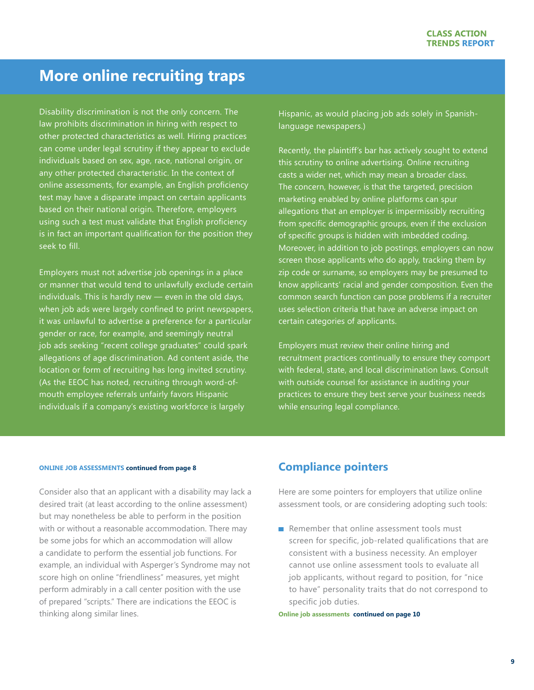## **More online recruiting traps**

Disability discrimination is not the only concern. The law prohibits discrimination in hiring with respect to other protected characteristics as well. Hiring practices can come under legal scrutiny if they appear to exclude individuals based on sex, age, race, national origin, or any other protected characteristic. In the context of online assessments, for example, an English proficiency test may have a disparate impact on certain applicants based on their national origin. Therefore, employers using such a test must validate that English proficiency is in fact an important qualification for the position they seek to fill.

Employers must not advertise job openings in a place or manner that would tend to unlawfully exclude certain individuals. This is hardly new — even in the old days, when job ads were largely confined to print newspapers, it was unlawful to advertise a preference for a particular gender or race, for example, and seemingly neutral job ads seeking "recent college graduates" could spark allegations of age discrimination. Ad content aside, the location or form of recruiting has long invited scrutiny. (As the EEOC has noted, recruiting through word-ofmouth employee referrals unfairly favors Hispanic individuals if a company's existing workforce is largely

Hispanic, as would placing job ads solely in Spanishlanguage newspapers.)

Recently, the plaintiff's bar has actively sought to extend this scrutiny to online advertising. Online recruiting casts a wider net, which may mean a broader class. The concern, however, is that the targeted, precision marketing enabled by online platforms can spur allegations that an employer is impermissibly recruiting from specific demographic groups, even if the exclusion of specific groups is hidden with imbedded coding. Moreover, in addition to job postings, employers can now screen those applicants who do apply, tracking them by zip code or surname, so employers may be presumed to know applicants' racial and gender composition. Even the common search function can pose problems if a recruiter uses selection criteria that have an adverse impact on certain categories of applicants.

Employers must review their online hiring and recruitment practices continually to ensure they comport with federal, state, and local discrimination laws. Consult with outside counsel for assistance in auditing your practices to ensure they best serve your business needs while ensuring legal compliance.

#### **ONLINE JOB ASSESSMENTS continued from page 8**

Consider also that an applicant with a disability may lack a desired trait (at least according to the online assessment) but may nonetheless be able to perform in the position with or without a reasonable accommodation. There may be some jobs for which an accommodation will allow a candidate to perform the essential job functions. For example, an individual with Asperger's Syndrome may not score high on online "friendliness" measures, yet might perform admirably in a call center position with the use of prepared "scripts." There are indications the EEOC is thinking along similar lines.

## **Compliance pointers**

Here are some pointers for employers that utilize online assessment tools, or are considering adopting such tools:

 $\blacksquare$  Remember that online assessment tools must screen for specific, job-related qualifications that are consistent with a business necessity. An employer cannot use online assessment tools to evaluate all job applicants, without regard to position, for "nice to have" personality traits that do not correspond to specific job duties.

**Online job assessments continued on page 10**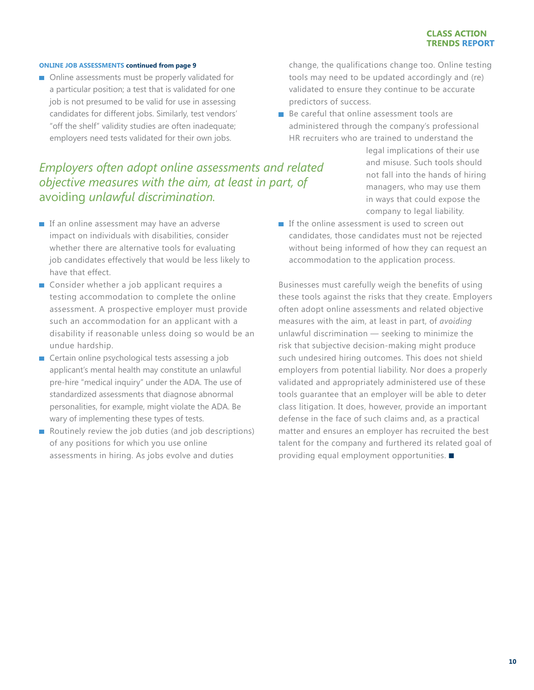#### **ONLINE JOB ASSESSMENTS continued from page 9**

■ Online assessments must be properly validated for a particular position; a test that is validated for one job is not presumed to be valid for use in assessing candidates for different jobs. Similarly, test vendors' "off the shelf" validity studies are often inadequate; employers need tests validated for their own jobs.

## *Employers often adopt online assessments and related objective measures with the aim, at least in part, of*  avoiding *unlawful discrimination.*

- $\blacksquare$  If an online assessment may have an adverse impact on individuals with disabilities, consider whether there are alternative tools for evaluating job candidates effectively that would be less likely to have that effect.
- Consider whether a job applicant requires a testing accommodation to complete the online assessment. A prospective employer must provide such an accommodation for an applicant with a disability if reasonable unless doing so would be an undue hardship.
- Certain online psychological tests assessing a job applicant's mental health may constitute an unlawful pre-hire "medical inquiry" under the ADA. The use of standardized assessments that diagnose abnormal personalities, for example, might violate the ADA. Be wary of implementing these types of tests.
- Routinely review the job duties (and job descriptions) of any positions for which you use online assessments in hiring. As jobs evolve and duties

change, the qualifications change too. Online testing tools may need to be updated accordingly and (re) validated to ensure they continue to be accurate predictors of success.

 $\blacksquare$  Be careful that online assessment tools are administered through the company's professional HR recruiters who are trained to understand the

> legal implications of their use and misuse. Such tools should not fall into the hands of hiring managers, who may use them in ways that could expose the company to legal liability.

 $\blacksquare$  If the online assessment is used to screen out candidates, those candidates must not be rejected without being informed of how they can request an accommodation to the application process.

Businesses must carefully weigh the benefits of using these tools against the risks that they create. Employers often adopt online assessments and related objective measures with the aim, at least in part, of *avoiding* unlawful discrimination — seeking to minimize the risk that subjective decision-making might produce such undesired hiring outcomes. This does not shield employers from potential liability. Nor does a properly validated and appropriately administered use of these tools guarantee that an employer will be able to deter class litigation. It does, however, provide an important defense in the face of such claims and, as a practical matter and ensures an employer has recruited the best talent for the company and furthered its related goal of providing equal employment opportunities.  $\blacksquare$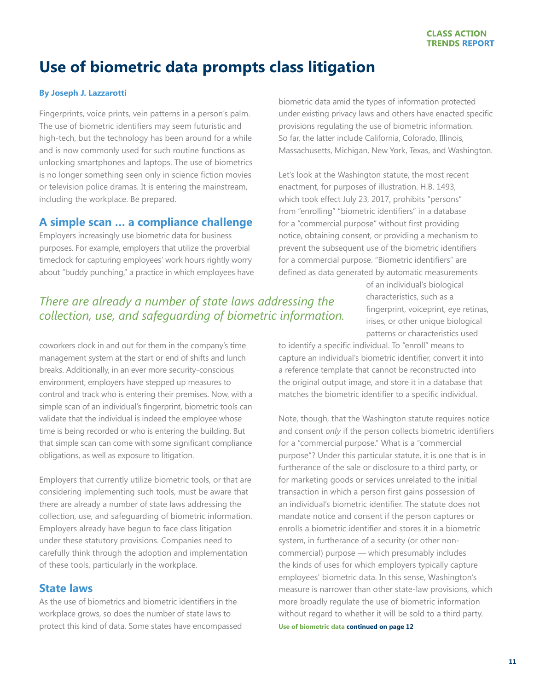## <span id="page-10-0"></span>**Use of biometric data prompts class litigation**

### **By [Joseph J. Lazzarotti](http://www.jacksonlewis.com/people.php?PeopleID=809)**

Fingerprints, voice prints, vein patterns in a person's palm. The use of biometric identifiers may seem futuristic and high-tech, but the technology has been around for a while and is now commonly used for such routine functions as unlocking smartphones and laptops. The use of biometrics is no longer something seen only in science fiction movies or television police dramas. It is entering the mainstream, including the workplace. Be prepared.

## **A simple scan … a compliance challenge**

Employers increasingly use biometric data for business purposes. For example, employers that utilize the proverbial timeclock for capturing employees' work hours rightly worry about "buddy punching," a practice in which employees have

biometric data amid the types of information protected under existing privacy laws and others have enacted specific provisions regulating the use of biometric information. So far, the latter include California, Colorado, Illinois, Massachusetts, Michigan, New York, Texas, and Washington.

Let's look at the Washington statute, the most recent enactment, for purposes of illustration. H.B. 1493, which took effect July 23, 2017, prohibits "persons" from "enrolling" "biometric identifiers" in a database for a "commercial purpose" without first providing notice, obtaining consent, or providing a mechanism to prevent the subsequent use of the biometric identifiers for a commercial purpose. "Biometric identifiers" are defined as data generated by automatic measurements

## *There are already a number of state laws addressing the collection, use, and safeguarding of biometric information.*

of an individual's biological characteristics, such as a fingerprint, voiceprint, eye retinas, irises, or other unique biological patterns or characteristics used

coworkers clock in and out for them in the company's time management system at the start or end of shifts and lunch breaks. Additionally, in an ever more security-conscious environment, employers have stepped up measures to control and track who is entering their premises. Now, with a simple scan of an individual's fingerprint, biometric tools can validate that the individual is indeed the employee whose time is being recorded or who is entering the building. But that simple scan can come with some significant compliance obligations, as well as exposure to litigation.

Employers that currently utilize biometric tools, or that are considering implementing such tools, must be aware that there are already a number of state laws addressing the collection, use, and safeguarding of biometric information. Employers already have begun to face class litigation under these statutory provisions. Companies need to carefully think through the adoption and implementation of these tools, particularly in the workplace.

## **State laws**

As the use of biometrics and biometric identifiers in the workplace grows, so does the number of state laws to protect this kind of data. Some states have encompassed

to identify a specific individual. To "enroll" means to capture an individual's biometric identifier, convert it into a reference template that cannot be reconstructed into the original output image, and store it in a database that matches the biometric identifier to a specific individual.

**Use of biometric data continued on page 12** Note, though, that the Washington statute requires notice and consent *only* if the person collects biometric identifiers for a "commercial purpose." What is a "commercial purpose"? Under this particular statute, it is one that is in furtherance of the sale or disclosure to a third party, or for marketing goods or services unrelated to the initial transaction in which a person first gains possession of an individual's biometric identifier. The statute does not mandate notice and consent if the person captures or enrolls a biometric identifier and stores it in a biometric system, in furtherance of a security (or other noncommercial) purpose — which presumably includes the kinds of uses for which employers typically capture employees' biometric data. In this sense, Washington's measure is narrower than other state-law provisions, which more broadly regulate the use of biometric information without regard to whether it will be sold to a third party.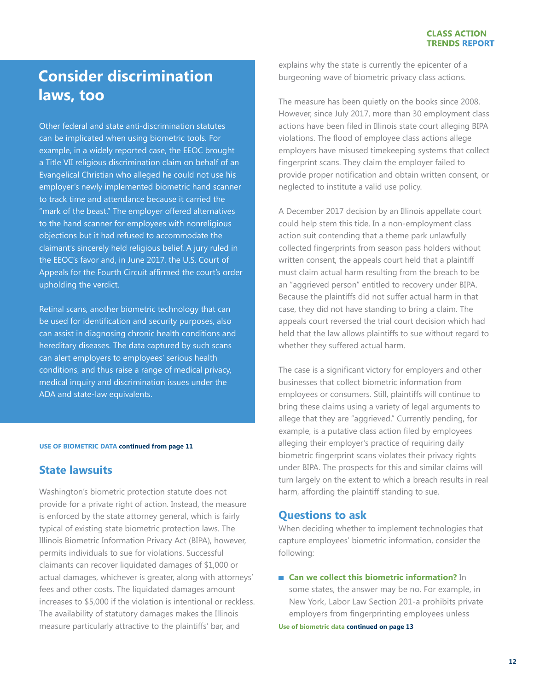## **Consider discrimination laws, too**

Other federal and state anti-discrimination statutes can be implicated when using biometric tools. For example, in a widely reported case, the EEOC brought a Title VII religious discrimination claim on behalf of an Evangelical Christian who alleged he could not use his employer's newly implemented biometric hand scanner to track time and attendance because it carried the "mark of the beast." The employer offered alternatives to the hand scanner for employees with nonreligious objections but it had refused to accommodate the claimant's sincerely held religious belief. A jury ruled in the EEOC's favor and, in June 2017, the U.S. Court of Appeals for the Fourth Circuit affirmed the court's order upholding the verdict.

Retinal scans, another biometric technology that can be used for identification and security purposes, also can assist in diagnosing chronic health conditions and hereditary diseases. The data captured by such scans can alert employers to employees' serious health conditions, and thus raise a range of medical privacy, medical inquiry and discrimination issues under the ADA and state-law equivalents.

#### **USE OF BIOMETRIC DATA continued from page 11**

## **State lawsuits**

Washington's biometric protection statute does not provide for a private right of action. Instead, the measure is enforced by the state attorney general, which is fairly typical of existing state biometric protection laws. The Illinois Biometric Information Privacy Act (BIPA), however, permits individuals to sue for violations. Successful claimants can recover liquidated damages of \$1,000 or actual damages, whichever is greater, along with attorneys' fees and other costs. The liquidated damages amount increases to \$5,000 if the violation is intentional or reckless. The availability of statutory damages makes the Illinois measure particularly attractive to the plaintiffs' bar, and

explains why the state is currently the epicenter of a burgeoning wave of biometric privacy class actions.

The measure has been quietly on the books since 2008. However, since July 2017, more than 30 employment class actions have been filed in Illinois state court alleging BIPA violations. The flood of employee class actions allege employers have misused timekeeping systems that collect fingerprint scans. They claim the employer failed to provide proper notification and obtain written consent, or neglected to institute a valid use policy.

A December 2017 decision by an Illinois appellate court could help stem this tide. In a non-employment class action suit contending that a theme park unlawfully collected fingerprints from season pass holders without written consent, the appeals court held that a plaintiff must claim actual harm resulting from the breach to be an "aggrieved person" entitled to recovery under BIPA. Because the plaintiffs did not suffer actual harm in that case, they did not have standing to bring a claim. The appeals court reversed the trial court decision which had held that the law allows plaintiffs to sue without regard to whether they suffered actual harm.

The case is a significant victory for employers and other businesses that collect biometric information from employees or consumers. Still, plaintiffs will continue to bring these claims using a variety of legal arguments to allege that they are "aggrieved." Currently pending, for example, is a putative class action filed by employees alleging their employer's practice of requiring daily biometric fingerprint scans violates their privacy rights under BIPA. The prospects for this and similar claims will turn largely on the extent to which a breach results in real harm, affording the plaintiff standing to sue.

### **Questions to ask**

When deciding whether to implement technologies that capture employees' biometric information, consider the following:

**Can we collect this biometric information?** In some states, the answer may be no. For example, in

New York, Labor Law Section 201-a prohibits private employers from fingerprinting employees unless

**Use of biometric data continued on page 13**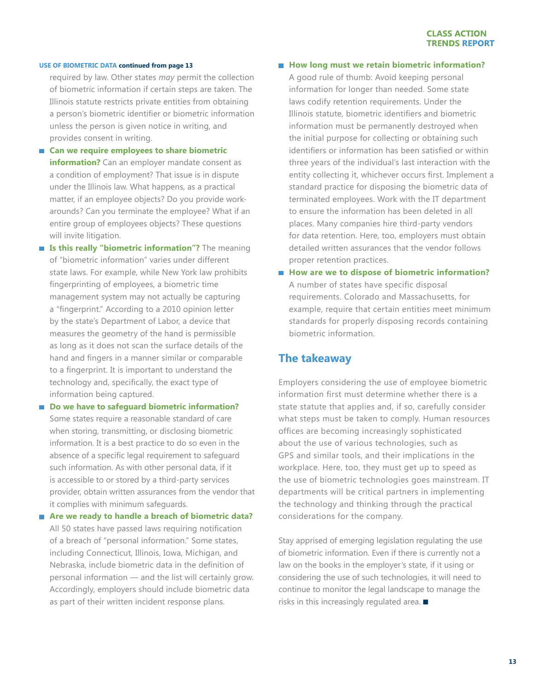#### **USE OF BIOMETRIC DATA continued from page 13**

required by law. Other states *may* permit the collection of biometric information if certain steps are taken. The Illinois statute restricts private entities from obtaining a person's biometric identifier or biometric information unless the person is given notice in writing, and provides consent in writing.

- Can we require employees to share biometric **information?** Can an employer mandate consent as a condition of employment? That issue is in dispute under the Illinois law. What happens, as a practical matter, if an employee objects? Do you provide workarounds? Can you terminate the employee? What if an entire group of employees objects? These questions will invite litigation.
- **Is this really "biometric information"?** The meaning of "biometric information" varies under different state laws. For example, while New York law prohibits fingerprinting of employees, a biometric time management system may not actually be capturing a "fingerprint." According to a 2010 opinion letter by the state's Department of Labor, a device that measures the geometry of the hand is permissible as long as it does not scan the surface details of the hand and fingers in a manner similar or comparable to a fingerprint. It is important to understand the technology and, specifically, the exact type of information being captured.
- Do we have to safeguard biometric information? Some states require a reasonable standard of care when storing, transmitting, or disclosing biometric information. It is a best practice to do so even in the absence of a specific legal requirement to safeguard such information. As with other personal data, if it is accessible to or stored by a third-party services provider, obtain written assurances from the vendor that it complies with minimum safeguards.
- **Are we ready to handle a breach of biometric data?**  All 50 states have passed laws requiring notification of a breach of "personal information." Some states, including Connecticut, Illinois, Iowa, Michigan, and Nebraska, include biometric data in the definition of personal information — and the list will certainly grow. Accordingly, employers should include biometric data as part of their written incident response plans.

### **How long must we retain biometric information?**

A good rule of thumb: Avoid keeping personal information for longer than needed. Some state laws codify retention requirements. Under the Illinois statute, biometric identifiers and biometric information must be permanently destroyed when the initial purpose for collecting or obtaining such identifiers or information has been satisfied or within three years of the individual's last interaction with the entity collecting it, whichever occurs first. Implement a standard practice for disposing the biometric data of terminated employees. Work with the IT department to ensure the information has been deleted in all places. Many companies hire third-party vendors for data retention. Here, too, employers must obtain detailed written assurances that the vendor follows proper retention practices.

■ How are we to dispose of biometric information? A number of states have specific disposal requirements. Colorado and Massachusetts, for example, require that certain entities meet minimum standards for properly disposing records containing biometric information.

### **The takeaway**

Employers considering the use of employee biometric information first must determine whether there is a state statute that applies and, if so, carefully consider what steps must be taken to comply. Human resources offices are becoming increasingly sophisticated about the use of various technologies, such as GPS and similar tools, and their implications in the workplace. Here, too, they must get up to speed as the use of biometric technologies goes mainstream. IT departments will be critical partners in implementing the technology and thinking through the practical considerations for the company.

Stay apprised of emerging legislation regulating the use of biometric information. Even if there is currently not a law on the books in the employer's state, if it using or considering the use of such technologies, it will need to continue to monitor the legal landscape to manage the risks in this increasingly regulated area.  $\blacksquare$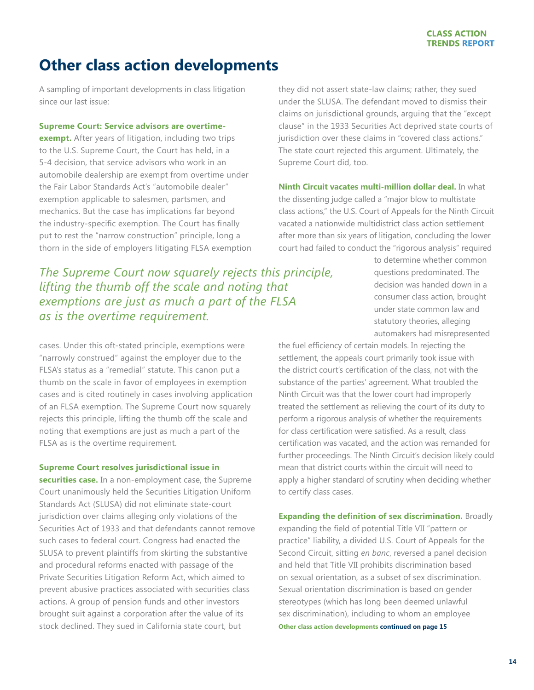## <span id="page-13-0"></span>**Other class action developments**

A sampling of important developments in class litigation since our last issue:

#### **Supreme Court: Service advisors are overtime-**

**exempt.** After years of litigation, including two trips to the U.S. Supreme Court, the Court has held, in a 5-4 decision, that service advisors who work in an automobile dealership are exempt from overtime under the Fair Labor Standards Act's "automobile dealer" exemption applicable to salesmen, partsmen, and mechanics. But the case has implications far beyond the industry-specific exemption. The Court has finally put to rest the "narrow construction" principle, long a thorn in the side of employers litigating FLSA exemption

*The Supreme Court now squarely rejects this principle, lifting the thumb off the scale and noting that exemptions are just as much a part of the FLSA as is the overtime requirement.* 

cases. Under this oft-stated principle, exemptions were "narrowly construed" against the employer due to the FLSA's status as a "remedial" statute. This canon put a thumb on the scale in favor of employees in exemption cases and is cited routinely in cases involving application of an FLSA exemption. The Supreme Court now squarely rejects this principle, lifting the thumb off the scale and noting that exemptions are just as much a part of the FLSA as is the overtime requirement.

### **Supreme Court resolves jurisdictional issue in**

**securities case.** In a non-employment case, the Supreme Court unanimously held the Securities Litigation Uniform Standards Act (SLUSA) did not eliminate state-court jurisdiction over claims alleging only violations of the Securities Act of 1933 and that defendants cannot remove such cases to federal court. Congress had enacted the SLUSA to prevent plaintiffs from skirting the substantive and procedural reforms enacted with passage of the Private Securities Litigation Reform Act, which aimed to prevent abusive practices associated with securities class actions. A group of pension funds and other investors brought suit against a corporation after the value of its stock declined. They sued in California state court, but

they did not assert state-law claims; rather, they sued under the SLUSA. The defendant moved to dismiss their claims on jurisdictional grounds, arguing that the "except clause" in the 1933 Securities Act deprived state courts of jurisdiction over these claims in "covered class actions." The state court rejected this argument. Ultimately, the Supreme Court did, too.

**Ninth Circuit vacates multi-million dollar deal.** In what the dissenting judge called a "major blow to multistate class actions," the U.S. Court of Appeals for the Ninth Circuit vacated a nationwide multidistrict class action settlement after more than six years of litigation, concluding the lower court had failed to conduct the "rigorous analysis" required

> to determine whether common questions predominated. The decision was handed down in a consumer class action, brought under state common law and statutory theories, alleging automakers had misrepresented

the fuel efficiency of certain models. In rejecting the settlement, the appeals court primarily took issue with the district court's certification of the class, not with the substance of the parties' agreement. What troubled the Ninth Circuit was that the lower court had improperly treated the settlement as relieving the court of its duty to perform a rigorous analysis of whether the requirements for class certification were satisfied. As a result, class certification was vacated, and the action was remanded for further proceedings. The Ninth Circuit's decision likely could mean that district courts within the circuit will need to apply a higher standard of scrutiny when deciding whether to certify class cases.

## **Expanding the definition of sex discrimination.** Broadly

expanding the field of potential Title VII "pattern or practice" liability, a divided U.S. Court of Appeals for the Second Circuit, sitting *en banc*, reversed a panel decision and held that Title VII prohibits discrimination based on sexual orientation, as a subset of sex discrimination. Sexual orientation discrimination is based on gender stereotypes (which has long been deemed unlawful sex discrimination), including to whom an employee **Other class action developments continued on page 15**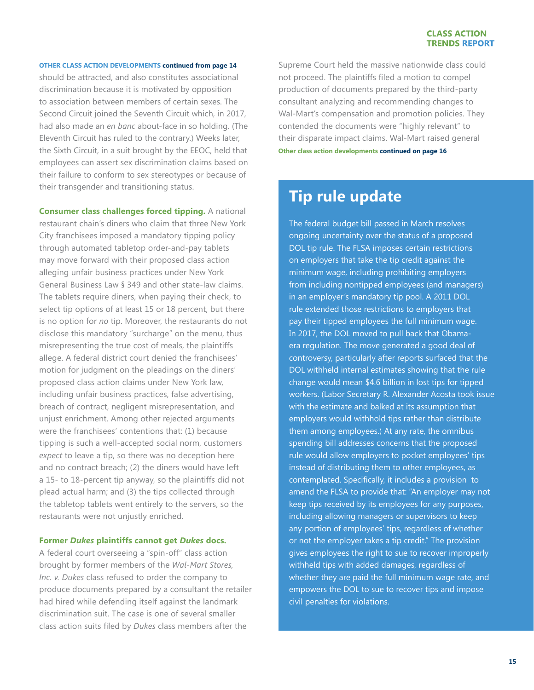#### **OTHER CLASS ACTION DEVELOPMENTS continued from page 14**

should be attracted, and also constitutes associational discrimination because it is motivated by opposition to association between members of certain sexes. The Second Circuit joined the Seventh Circuit which, in 2017, had also made an *en banc* about-face in so holding. (The Eleventh Circuit has ruled to the contrary.) Weeks later, the Sixth Circuit, in a suit brought by the EEOC, held that employees can assert sex discrimination claims based on their failure to conform to sex stereotypes or because of their transgender and transitioning status.

**Consumer class challenges forced tipping.** A national restaurant chain's diners who claim that three New York City franchisees imposed a mandatory tipping policy through automated tabletop order-and-pay tablets may move forward with their proposed class action alleging unfair business practices under New York General Business Law § 349 and other state-law claims. The tablets require diners, when paying their check, to select tip options of at least 15 or 18 percent, but there is no option for *no* tip. Moreover, the restaurants do not disclose this mandatory "surcharge" on the menu, thus misrepresenting the true cost of meals, the plaintiffs allege. A federal district court denied the franchisees' motion for judgment on the pleadings on the diners' proposed class action claims under New York law, including unfair business practices, false advertising, breach of contract, negligent misrepresentation, and unjust enrichment. Among other rejected arguments were the franchisees' contentions that: (1) because tipping is such a well-accepted social norm, customers *expect* to leave a tip, so there was no deception here and no contract breach; (2) the diners would have left a 15- to 18-percent tip anyway, so the plaintiffs did not plead actual harm; and (3) the tips collected through the tabletop tablets went entirely to the servers, so the restaurants were not unjustly enriched.

#### **Former** *Dukes* **plaintiffs cannot get** *Dukes* **docs.**

A federal court overseeing a "spin-off" class action brought by former members of the *Wal-Mart Stores, Inc. v. Dukes* class refused to order the company to produce documents prepared by a consultant the retailer had hired while defending itself against the landmark discrimination suit. The case is one of several smaller class action suits filed by *Dukes* class members after the

Supreme Court held the massive nationwide class could not proceed. The plaintiffs filed a motion to compel production of documents prepared by the third-party consultant analyzing and recommending changes to Wal-Mart's compensation and promotion policies. They contended the documents were "highly relevant" to their disparate impact claims. Wal-Mart raised general **Other class action developments continued on page 16**

## **Tip rule update**

The federal budget bill passed in March resolves ongoing uncertainty over the status of a proposed DOL tip rule. The FLSA imposes certain restrictions on employers that take the tip credit against the minimum wage, including prohibiting employers from including nontipped employees (and managers) in an employer's mandatory tip pool. A 2011 DOL rule extended those restrictions to employers that pay their tipped employees the full minimum wage. In 2017, the DOL moved to pull back that Obamaera regulation. The move generated a good deal of controversy, particularly after reports surfaced that the DOL withheld internal estimates showing that the rule change would mean \$4.6 billion in lost tips for tipped workers. (Labor Secretary R. Alexander Acosta took issue with the estimate and balked at its assumption that employers would withhold tips rather than distribute them among employees.) At any rate, the omnibus spending bill addresses concerns that the proposed rule would allow employers to pocket employees' tips instead of distributing them to other employees, as contemplated. Specifically, it includes a provision to amend the FLSA to provide that: "An employer may not keep tips received by its employees for any purposes, including allowing managers or supervisors to keep any portion of employees' tips, regardless of whether or not the employer takes a tip credit." The provision gives employees the right to sue to recover improperly withheld tips with added damages, regardless of whether they are paid the full minimum wage rate, and empowers the DOL to sue to recover tips and impose civil penalties for violations.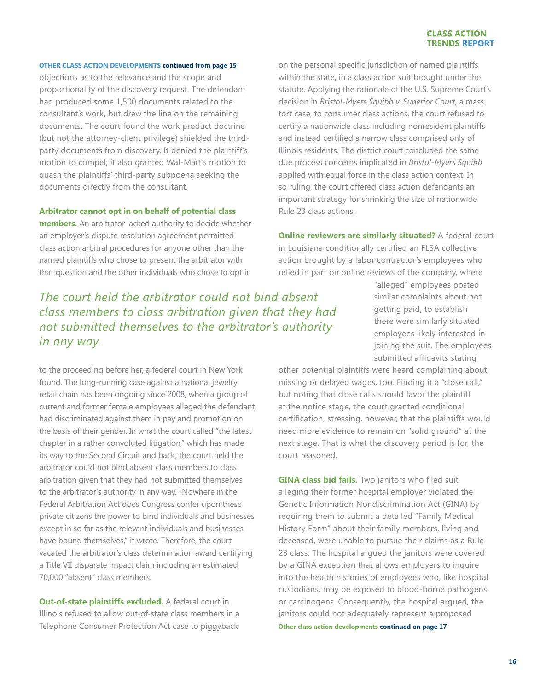#### **OTHER CLASS ACTION DEVELOPMENTS continued from page 15**

objections as to the relevance and the scope and proportionality of the discovery request. The defendant had produced some 1,500 documents related to the consultant's work, but drew the line on the remaining documents. The court found the work product doctrine (but not the attorney-client privilege) shielded the thirdparty documents from discovery. It denied the plaintiff's motion to compel; it also granted Wal-Mart's motion to quash the plaintiffs' third-party subpoena seeking the documents directly from the consultant.

#### **Arbitrator cannot opt in on behalf of potential class**

**members.** An arbitrator lacked authority to decide whether an employer's dispute resolution agreement permitted class action arbitral procedures for anyone other than the named plaintiffs who chose to present the arbitrator with that question and the other individuals who chose to opt in

## *The court held the arbitrator could not bind absent class members to class arbitration given that they had not submitted themselves to the arbitrator's authority in any way.*

to the proceeding before her, a federal court in New York found. The long-running case against a national jewelry retail chain has been ongoing since 2008, when a group of current and former female employees alleged the defendant had discriminated against them in pay and promotion on the basis of their gender. In what the court called "the latest chapter in a rather convoluted litigation," which has made its way to the Second Circuit and back, the court held the arbitrator could not bind absent class members to class arbitration given that they had not submitted themselves to the arbitrator's authority in any way. "Nowhere in the Federal Arbitration Act does Congress confer upon these private citizens the power to bind individuals and businesses except in so far as the relevant individuals and businesses have bound themselves," it wrote. Therefore, the court vacated the arbitrator's class determination award certifying a Title VII disparate impact claim including an estimated 70,000 "absent" class members.

**Out-of-state plaintiffs excluded.** A federal court in Illinois refused to allow out-of-state class members in a Telephone Consumer Protection Act case to piggyback

on the personal specific jurisdiction of named plaintiffs within the state, in a class action suit brought under the statute. Applying the rationale of the U.S. Supreme Court's decision in *Bristol-Myers Squibb v. Superior Court*, a mass tort case, to consumer class actions, the court refused to certify a nationwide class including nonresident plaintiffs and instead certified a narrow class comprised only of Illinois residents. The district court concluded the same due process concerns implicated in *Bristol-Myers Squibb* applied with equal force in the class action context. In so ruling, the court offered class action defendants an important strategy for shrinking the size of nationwide Rule 23 class actions.

### **Online reviewers are similarly situated?** A federal court in Louisiana conditionally certified an FLSA collective action brought by a labor contractor's employees who relied in part on online reviews of the company, where

"alleged" employees posted similar complaints about not getting paid, to establish there were similarly situated employees likely interested in joining the suit. The employees submitted affidavits stating

other potential plaintiffs were heard complaining about missing or delayed wages, too. Finding it a "close call," but noting that close calls should favor the plaintiff at the notice stage, the court granted conditional certification, stressing, however, that the plaintiffs would need more evidence to remain on "solid ground" at the next stage. That is what the discovery period is for, the court reasoned.

**GINA class bid fails.** Two janitors who filed suit alleging their former hospital employer violated the Genetic Information Nondiscrimination Act (GINA) by requiring them to submit a detailed "Family Medical History Form" about their family members, living and deceased, were unable to pursue their claims as a Rule 23 class. The hospital argued the janitors were covered by a GINA exception that allows employers to inquire into the health histories of employees who, like hospital custodians, may be exposed to blood-borne pathogens or carcinogens. Consequently, the hospital argued, the janitors could not adequately represent a proposed **Other class action developments continued on page 17**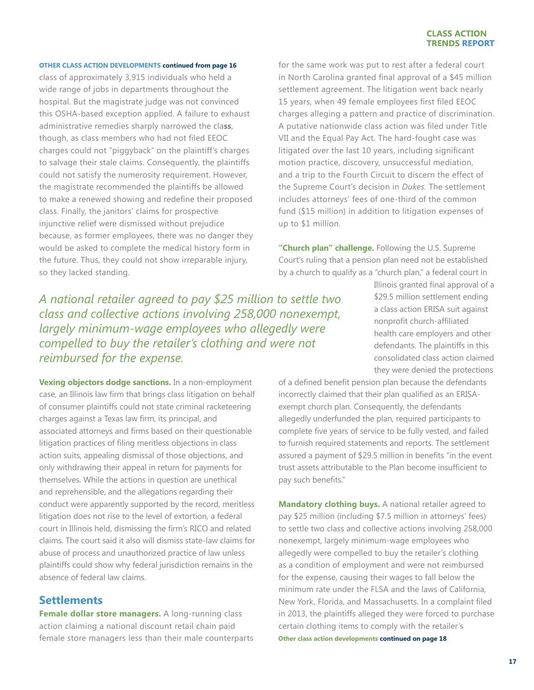#### **OTHER CLASS ACTION DEVELOPMENTS continued from page 16**

class of approximately 3,915 individuals who held a wide range of jobs in departments throughout the hospital. But the magistrate judge was not convinced this OSHA-based exception applied. A failure to exhaust administrative remedies sharply narrowed the cla**ss**, though, as class members who had not filed EEOC charges could not "piggyback" on the plaintiff's charges to salvage their stale claims. Consequently, the plaintiffs could not satisfy the numerosity requirement. However, the magistrate recommended the plaintiffs be allowed to make a renewed showing and redefine their proposed class. Finally, the janitors' claims for prospective injunctive relief were dismissed without prejudice because, as former employees, there was no danger they would be asked to complete the medical history form in the future. Thus, they could not show irreparable injury, so they lacked standing.

for the same work was put to rest after a federal court in North Carolina granted final approval of a \$45 million settlement agreement. The litigation went back nearly 15 years, when 49 female employees first filed EEOC charges alleging a pattern and practice of discrimination. A putative nationwide class action was filed under Title VII and the Equal Pay Act. The hard-fought case was litigated over the last 10 years, including significant motion practice, discovery, unsuccessful mediation, and a trip to the Fourth Circuit to discern the effect of the Supreme Court's decision in *Dukes.* The settlement includes attorneys' fees of one-third of the common fund (\$15 million) in addition to litigation expenses of up to \$1 million.

**"Church plan" challenge.** Following the U.S. Supreme Court's ruling that a pension plan need not be established by a church to qualify as a "church plan," a federal court in

*A national retailer agreed to pay \$25 million to settle two class and collective actions involving 258,000 nonexempt, largely minimum-wage employees who allegedly were compelled to buy the retailer's clothing and were not reimbursed for the expense.*

**Vexing objectors dodge sanctions.** In a non-employment case, an Illinois law firm that brings class litigation on behalf of consumer plaintiffs could not state criminal racketeering charges against a Texas law firm, its principal, and associated attorneys and firms based on their questionable litigation practices of filing meritless objections in class action suits, appealing dismissal of those objections, and only withdrawing their appeal in return for payments for themselves. While the actions in question are unethical and reprehensible, and the allegations regarding their conduct were apparently supported by the record, meritless litigation does not rise to the level of extortion, a federal court in Illinois held, dismissing the firm's RICO and related claims. The court said it also will dismiss state-law claims for abuse of process and unauthorized practice of law unless plaintiffs could show why federal jurisdiction remains in the absence of federal law claims.

### **Settlements**

**Female dollar store managers.** A long-running class action claiming a national discount retail chain paid female store managers less than their male counterparts Illinois granted final approval of a \$29.5 million settlement ending a class action ERISA suit against nonprofit church-affiliated health care employers and other defendants. The plaintiffs in this consolidated class action claimed they were denied the protections

of a defined benefit pension plan because the defendants incorrectly claimed that their plan qualified as an ERISAexempt church plan. Consequently, the defendants allegedly underfunded the plan, required participants to complete five years of service to be fully vested, and failed to furnish required statements and reports. The settlement assured a payment of \$29.5 million in benefits "in the event trust assets attributable to the Plan become insufficient to pay such benefits."

**Mandatory clothing buys.** A national retailer agreed to pay \$25 million (including \$7.5 million in attorneys' fees) to settle two class and collective actions involving 258,000 nonexempt, largely minimum-wage employees who allegedly were compelled to buy the retailer's clothing as a condition of employment and were not reimbursed for the expense, causing their wages to fall below the minimum rate under the FLSA and the laws of California, New York, Florida, and Massachusetts. In a complaint filed in 2013, the plaintiffs alleged they were forced to purchase certain clothing items to comply with the retailer's **Other class action developments continued on page 18**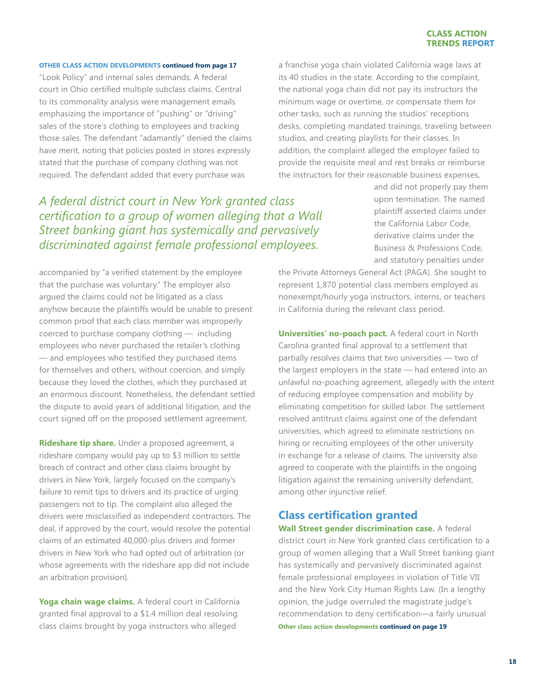#### **OTHER CLASS ACTION DEVELOPMENTS continued from page 17**

"Look Policy" and internal sales demands. A federal court in Ohio certified multiple subclass claims. Central to its commonality analysis were management emails emphasizing the importance of "pushing" or "driving" sales of the store's clothing to employees and tracking those sales. The defendant "adamantly" denied the claims have merit, noting that policies posted in stores expressly stated that the purchase of company clothing was not required. The defendant added that every purchase was

a franchise yoga chain violated California wage laws at its 40 studios in the state. According to the complaint, the national yoga chain did not pay its instructors the minimum wage or overtime, or compensate them for other tasks, such as running the studios' receptions desks, completing mandated trainings, traveling between studios, and creating playlists for their classes. In addition, the complaint alleged the employer failed to provide the requisite meal and rest breaks or reimburse the instructors for their reasonable business expenses,

## *A federal district court in New York granted class certification to a group of women alleging that a Wall Street banking giant has systemically and pervasively discriminated against female professional employees.*

accompanied by "a verified statement by the employee that the purchase was voluntary." The employer also argued the claims could not be litigated as a class anyhow because the plaintiffs would be unable to present common proof that each class member was improperly coerced to purchase company clothing — including employees who never purchased the retailer's clothing — and employees who testified they purchased items for themselves and others, without coercion, and simply because they loved the clothes, which they purchased at an enormous discount. Nonetheless, the defendant settled the dispute to avoid years of additional litigation, and the court signed off on the proposed settlement agreement.

**Rideshare tip share.** Under a proposed agreement, a rideshare company would pay up to \$3 million to settle breach of contract and other class claims brought by drivers in New York, largely focused on the company's failure to remit tips to drivers and its practice of urging passengers not to tip. The complaint also alleged the drivers were misclassified as independent contractors. The deal, if approved by the court, would resolve the potential claims of an estimated 40,000-plus drivers and former drivers in New York who had opted out of arbitration (or whose agreements with the rideshare app did not include an arbitration provision).

**Yoga chain wage claims.** A federal court in California granted final approval to a \$1.4 million deal resolving class claims brought by yoga instructors who alleged

and did not properly pay them upon termination. The named plaintiff asserted claims under the California Labor Code, derivative claims under the Business & Professions Code, and statutory penalties under

the Private Attorneys General Act (PAGA). She sought to represent 1,870 potential class members employed as nonexempt/hourly yoga instructors, interns, or teachers in California during the relevant class period.

**Universities' no-poach pact.** A federal court in North Carolina granted final approval to a settlement that partially resolves claims that two universities — two of the largest employers in the state — had entered into an unlawful no-poaching agreement, allegedly with the intent of reducing employee compensation and mobility by eliminating competition for skilled labor. The settlement resolved antitrust claims against one of the defendant universities, which agreed to eliminate restrictions on hiring or recruiting employees of the other university in exchange for a release of claims. The university also agreed to cooperate with the plaintiffs in the ongoing litigation against the remaining university defendant, among other injunctive relief.

## **Class certification granted**

**Wall Street gender discrimination case.** A federal district court in New York granted class certification to a group of women alleging that a Wall Street banking giant has systemically and pervasively discriminated against female professional employees in violation of Title VII and the New York City Human Rights Law. (In a lengthy opinion, the judge overruled the magistrate judge's recommendation to deny certification—a fairly unusual **Other class action developments continued on page 19**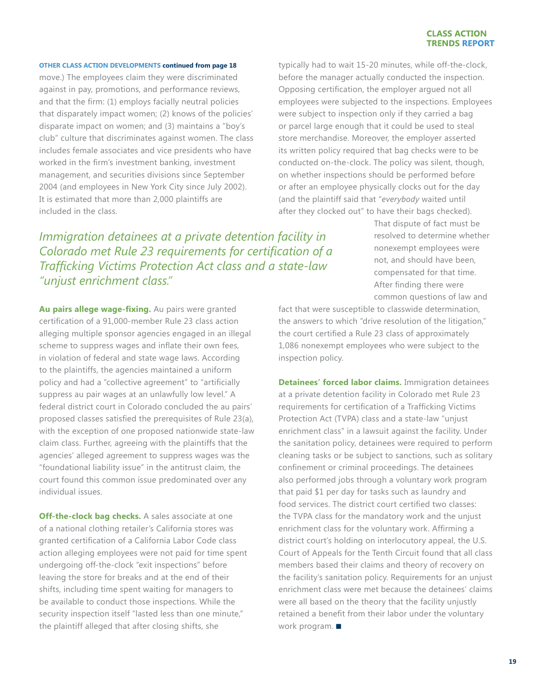#### **OTHER CLASS ACTION DEVELOPMENTS continued from page 18**

move.) The employees claim they were discriminated against in pay, promotions, and performance reviews, and that the firm: (1) employs facially neutral policies that disparately impact women; (2) knows of the policies' disparate impact on women; and (3) maintains a "boy's club" culture that discriminates against women. The class includes female associates and vice presidents who have worked in the firm's investment banking, investment management, and securities divisions since September 2004 (and employees in New York City since July 2002). It is estimated that more than 2,000 plaintiffs are included in the class.

*Immigration detainees at a private detention facility in Colorado met Rule 23 requirements for certification of a Trafficking Victims Protection Act class and a state-law "unjust enrichment class."*

**Au pairs allege wage-fixing.** Au pairs were granted certification of a 91,000-member Rule 23 class action alleging multiple sponsor agencies engaged in an illegal scheme to suppress wages and inflate their own fees, in violation of federal and state wage laws. According to the plaintiffs, the agencies maintained a uniform policy and had a "collective agreement" to "artificially suppress au pair wages at an unlawfully low level." A federal district court in Colorado concluded the au pairs' proposed classes satisfied the prerequisites of Rule 23(a), with the exception of one proposed nationwide state-law claim class. Further, agreeing with the plaintiffs that the agencies' alleged agreement to suppress wages was the "foundational liability issue" in the antitrust claim, the court found this common issue predominated over any individual issues.

**Off-the-clock bag checks.** A sales associate at one of a national clothing retailer's California stores was granted certification of a California Labor Code class action alleging employees were not paid for time spent undergoing off-the-clock "exit inspections" before leaving the store for breaks and at the end of their shifts, including time spent waiting for managers to be available to conduct those inspections. While the security inspection itself "lasted less than one minute," the plaintiff alleged that after closing shifts, she

typically had to wait 15-20 minutes, while off-the-clock, before the manager actually conducted the inspection. Opposing certification, the employer argued not all employees were subjected to the inspections. Employees were subject to inspection only if they carried a bag or parcel large enough that it could be used to steal store merchandise. Moreover, the employer asserted its written policy required that bag checks were to be conducted on-the-clock. The policy was silent, though, on whether inspections should be performed before or after an employee physically clocks out for the day (and the plaintiff said that "*everybody* waited until after they clocked out" to have their bags checked).

> That dispute of fact must be resolved to determine whether nonexempt employees were not, and should have been, compensated for that time. After finding there were common questions of law and

fact that were susceptible to classwide determination, the answers to which "drive resolution of the litigation," the court certified a Rule 23 class of approximately 1,086 nonexempt employees who were subject to the inspection policy.

**Detainees' forced labor claims.** Immigration detainees at a private detention facility in Colorado met Rule 23 requirements for certification of a Trafficking Victims Protection Act (TVPA) class and a state-law "unjust enrichment class" in a lawsuit against the facility. Under the sanitation policy, detainees were required to perform cleaning tasks or be subject to sanctions, such as solitary confinement or criminal proceedings. The detainees also performed jobs through a voluntary work program that paid \$1 per day for tasks such as laundry and food services. The district court certified two classes: the TVPA class for the mandatory work and the unjust enrichment class for the voluntary work. Affirming a district court's holding on interlocutory appeal, the U.S. Court of Appeals for the Tenth Circuit found that all class members based their claims and theory of recovery on the facility's sanitation policy. Requirements for an unjust enrichment class were met because the detainees' claims were all based on the theory that the facility unjustly retained a benefit from their labor under the voluntary work program.  $\blacksquare$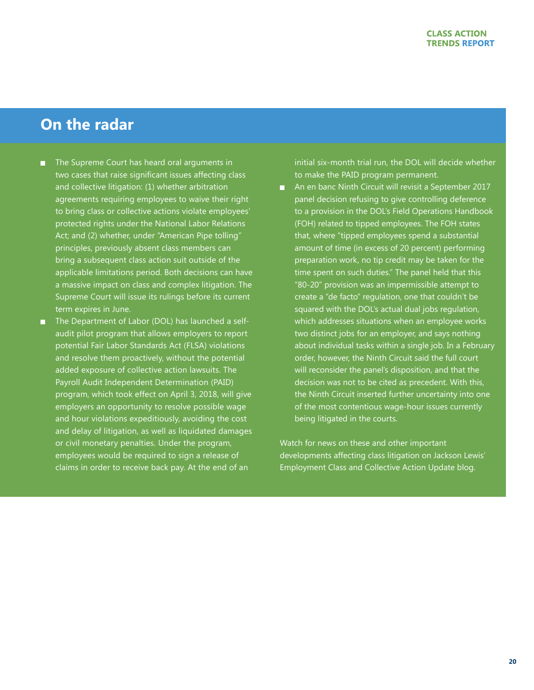## **On the radar**

- The Supreme Court has heard oral arguments in  $\blacksquare$ two cases that raise significant issues affecting class and collective litigation: (1) whether arbitration agreements requiring employees to waive their right to bring class or collective actions violate employees' protected rights under the National Labor Relations Act; and (2) whether, under "American Pipe tolling" principles, previously absent class members can bring a subsequent class action suit outside of the applicable limitations period. Both decisions can have a massive impact on class and complex litigation. The Supreme Court will issue its rulings before its current term expires in June.
- **The Department of Labor (DOL) has launched a self**audit pilot program that allows employers to report potential Fair Labor Standards Act (FLSA) violations and resolve them proactively, without the potential added exposure of collective action lawsuits. The Payroll Audit Independent Determination (PAID) program, which took effect on April 3, 2018, will give employers an opportunity to resolve possible wage and hour violations expeditiously, avoiding the cost and delay of litigation, as well as liquidated damages or civil monetary penalties. Under the program, employees would be required to sign a release of claims in order to receive back pay. At the end of an

initial six-month trial run, the DOL will decide whether to make the PAID program permanent.

**• An en banc Ninth Circuit will revisit a September 2017** panel decision refusing to give controlling deference to a provision in the DOL's Field Operations Handbook (FOH) related to tipped employees. The FOH states that, where "tipped employees spend a substantial amount of time (in excess of 20 percent) performing preparation work, no tip credit may be taken for the time spent on such duties." The panel held that this "80-20" provision was an impermissible attempt to create a "de facto" regulation, one that couldn't be squared with the DOL's actual dual jobs regulation, which addresses situations when an employee works two distinct jobs for an employer, and says nothing about individual tasks within a single job. In a February order, however, the Ninth Circuit said the full court will reconsider the panel's disposition, and that the decision was not to be cited as precedent. With this, the Ninth Circuit inserted further uncertainty into one of the most contentious wage-hour issues currently being litigated in the courts.

Watch for news on these and other important developments affecting class litigation on Jackson Lewis' Employment Class and Collective Action Update blog.